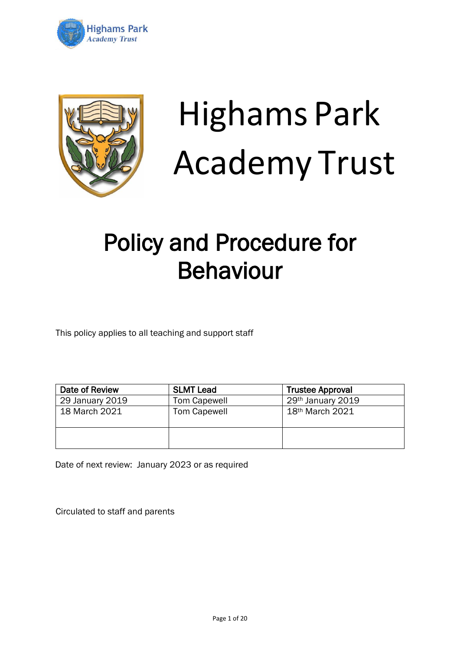



# Highams Park Academy Trust

# Policy and Procedure for Behaviour

This policy applies to all teaching and support staff

| Date of Review  | <b>SLMT Lead</b>    | <b>Trustee Approval</b> |
|-----------------|---------------------|-------------------------|
| 29 January 2019 | <b>Tom Capewell</b> | 29th January 2019       |
| 18 March 2021   | <b>Tom Capewell</b> | 18th March 2021         |
|                 |                     |                         |

Date of next review: January 2023 or as required

Circulated to staff and parents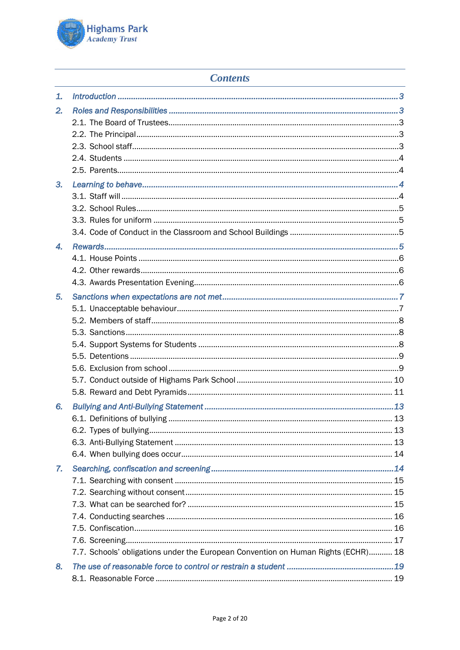

# **Contents**

| 1.               |                                                                                   |  |
|------------------|-----------------------------------------------------------------------------------|--|
| 2.               |                                                                                   |  |
|                  |                                                                                   |  |
|                  |                                                                                   |  |
|                  |                                                                                   |  |
|                  |                                                                                   |  |
|                  |                                                                                   |  |
| 3.               |                                                                                   |  |
|                  |                                                                                   |  |
|                  |                                                                                   |  |
|                  |                                                                                   |  |
|                  |                                                                                   |  |
| $\mathbf{A}_{-}$ |                                                                                   |  |
|                  |                                                                                   |  |
|                  |                                                                                   |  |
|                  |                                                                                   |  |
| 5.               |                                                                                   |  |
|                  |                                                                                   |  |
|                  |                                                                                   |  |
|                  |                                                                                   |  |
|                  |                                                                                   |  |
|                  |                                                                                   |  |
|                  |                                                                                   |  |
|                  |                                                                                   |  |
|                  |                                                                                   |  |
| 6.               |                                                                                   |  |
|                  |                                                                                   |  |
|                  |                                                                                   |  |
|                  |                                                                                   |  |
|                  |                                                                                   |  |
| 7.               |                                                                                   |  |
|                  |                                                                                   |  |
|                  |                                                                                   |  |
|                  |                                                                                   |  |
|                  |                                                                                   |  |
|                  |                                                                                   |  |
|                  |                                                                                   |  |
|                  | 7.7. Schools' obligations under the European Convention on Human Rights (ECHR) 18 |  |
| 8.               |                                                                                   |  |
|                  |                                                                                   |  |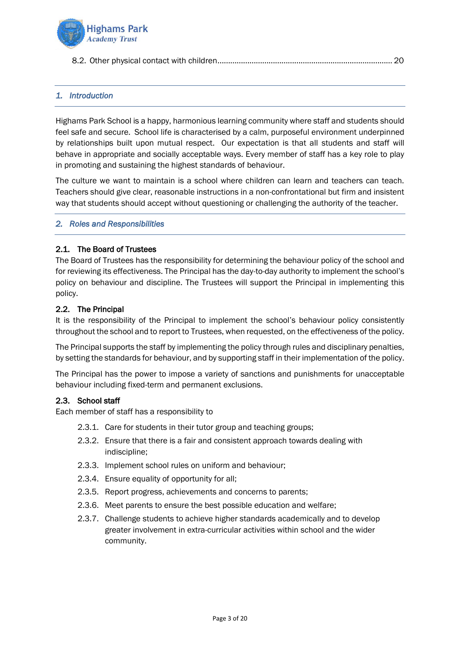

|--|--|--|

# <span id="page-2-0"></span>*1. Introduction*

Highams Park School is a happy, harmonious learning community where staff and students should feel safe and secure. School life is characterised by a calm, purposeful environment underpinned by relationships built upon mutual respect. Our expectation is that all students and staff will behave in appropriate and socially acceptable ways. Every member of staff has a key role to play in promoting and sustaining the highest standards of behaviour.

The culture we want to maintain is a school where children can learn and teachers can teach. Teachers should give clear, reasonable instructions in a non-confrontational but firm and insistent way that students should accept without questioning or challenging the authority of the teacher.

#### <span id="page-2-1"></span>*2. Roles and Responsibilities*

#### <span id="page-2-2"></span>2.1. The Board of Trustees

The Board of Trustees has the responsibility for determining the behaviour policy of the school and for reviewing its effectiveness. The Principal has the day-to-day authority to implement the school's policy on behaviour and discipline. The Trustees will support the Principal in implementing this policy.

#### <span id="page-2-3"></span>2.2. The Principal

It is the responsibility of the Principal to implement the school's behaviour policy consistently throughout the school and to report to Trustees, when requested, on the effectiveness of the policy.

The Principal supports the staff by implementing the policy through rules and disciplinary penalties, by setting the standards for behaviour, and by supporting staff in their implementation of the policy.

The Principal has the power to impose a variety of sanctions and punishments for unacceptable behaviour including fixed-term and permanent exclusions.

#### <span id="page-2-4"></span>2.3. School staff

Each member of staff has a responsibility to

- 2.3.1. Care for students in their tutor group and teaching groups;
- 2.3.2. Ensure that there is a fair and consistent approach towards dealing with indiscipline;
- 2.3.3. Implement school rules on uniform and behaviour;
- 2.3.4. Ensure equality of opportunity for all;
- 2.3.5. Report progress, achievements and concerns to parents;
- 2.3.6. Meet parents to ensure the best possible education and welfare;
- 2.3.7. Challenge students to achieve higher standards academically and to develop greater involvement in extra-curricular activities within school and the wider community.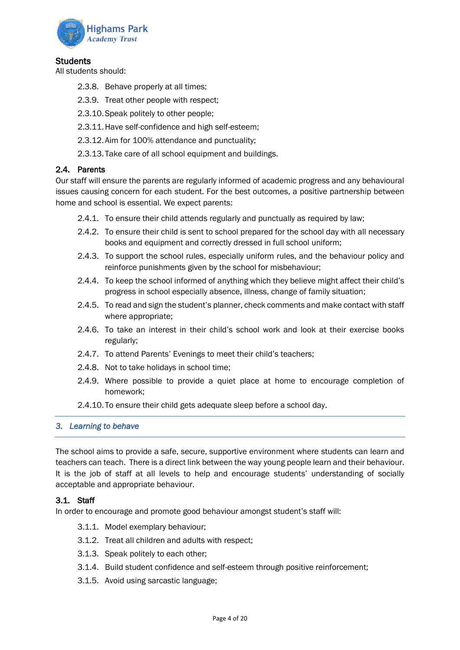

# <span id="page-3-0"></span>**Students**

All students should:

- 2.3.8. Behave properly at all times;
- 2.3.9. Treat other people with respect;
- 2.3.10.Speak politely to other people;
- 2.3.11.Have self-confidence and high self-esteem;
- 2.3.12.Aim for 100% attendance and punctuality;
- 2.3.13.Take care of all school equipment and buildings.

#### <span id="page-3-1"></span>2.4. Parents

Our staff will ensure the parents are regularly informed of academic progress and any behavioural issues causing concern for each student. For the best outcomes, a positive partnership between home and school is essential. We expect parents:

- 2.4.1. To ensure their child attends regularly and punctually as required by law;
- 2.4.2. To ensure their child is sent to school prepared for the school day with all necessary books and equipment and correctly dressed in full school uniform;
- 2.4.3. To support the school rules, especially uniform rules, and the behaviour policy and reinforce punishments given by the school for misbehaviour;
- 2.4.4. To keep the school informed of anything which they believe might affect their child's progress in school especially absence, illness, change of family situation;
- 2.4.5. To read and sign the student's planner, check comments and make contact with staff where appropriate;
- 2.4.6. To take an interest in their child's school work and look at their exercise books regularly;
- 2.4.7. To attend Parents' Evenings to meet their child's teachers;
- 2.4.8. Not to take holidays in school time;
- 2.4.9. Where possible to provide a quiet place at home to encourage completion of homework;
- 2.4.10.To ensure their child gets adequate sleep before a school day.

#### <span id="page-3-2"></span>*3. Learning to behave*

The school aims to provide a safe, secure, supportive environment where students can learn and teachers can teach. There is a direct link between the way young people learn and their behaviour. It is the job of staff at all levels to help and encourage students' understanding of socially acceptable and appropriate behaviour.

#### <span id="page-3-3"></span>3.1. Staff

In order to encourage and promote good behaviour amongst student's staff will:

- 3.1.1. Model exemplary behaviour;
- 3.1.2. Treat all children and adults with respect;
- 3.1.3. Speak politely to each other;
- 3.1.4. Build student confidence and self-esteem through positive reinforcement;
- 3.1.5. Avoid using sarcastic language;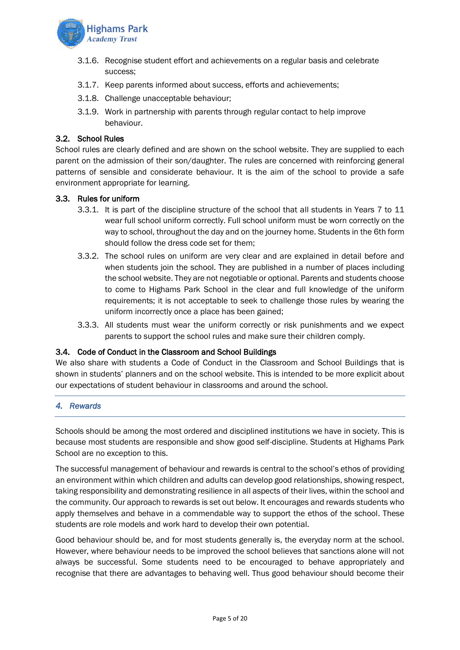

- 3.1.6. Recognise student effort and achievements on a regular basis and celebrate success;
- 3.1.7. Keep parents informed about success, efforts and achievements;
- 3.1.8. Challenge unacceptable behaviour;
- 3.1.9. Work in partnership with parents through regular contact to help improve behaviour.

#### <span id="page-4-0"></span>3.2. School Rules

School rules are clearly defined and are shown on the school website. They are supplied to each parent on the admission of their son/daughter. The rules are concerned with reinforcing general patterns of sensible and considerate behaviour. It is the aim of the school to provide a safe environment appropriate for learning.

#### <span id="page-4-1"></span>3.3. Rules for uniform

- 3.3.1. It is part of the discipline structure of the school that all students in Years 7 to 11 wear full school uniform correctly. Full school uniform must be worn correctly on the way to school, throughout the day and on the journey home. Students in the 6th form should follow the dress code set for them;
- 3.3.2. The school rules on uniform are very clear and are explained in detail before and when students join the school. They are published in a number of places including the school website. They are not negotiable or optional. Parents and students choose to come to Highams Park School in the clear and full knowledge of the uniform requirements; it is not acceptable to seek to challenge those rules by wearing the uniform incorrectly once a place has been gained;
- 3.3.3. All students must wear the uniform correctly or risk punishments and we expect parents to support the school rules and make sure their children comply.

#### <span id="page-4-2"></span>3.4. Code of Conduct in the Classroom and School Buildings

We also share with students a Code of Conduct in the Classroom and School Buildings that is shown in students' planners and on the school website. This is intended to be more explicit about our expectations of student behaviour in classrooms and around the school.

# <span id="page-4-3"></span>*4. Rewards*

Schools should be among the most ordered and disciplined institutions we have in society. This is because most students are responsible and show good self-discipline. Students at Highams Park School are no exception to this.

The successful management of behaviour and rewards is central to the school's ethos of providing an environment within which children and adults can develop good relationships, showing respect, taking responsibility and demonstrating resilience in all aspects of their lives, within the school and the community. Our approach to rewards is set out below. It encourages and rewards students who apply themselves and behave in a commendable way to support the ethos of the school. These students are role models and work hard to develop their own potential.

Good behaviour should be, and for most students generally is, the everyday norm at the school. However, where behaviour needs to be improved the school believes that sanctions alone will not always be successful. Some students need to be encouraged to behave appropriately and recognise that there are advantages to behaving well. Thus good behaviour should become their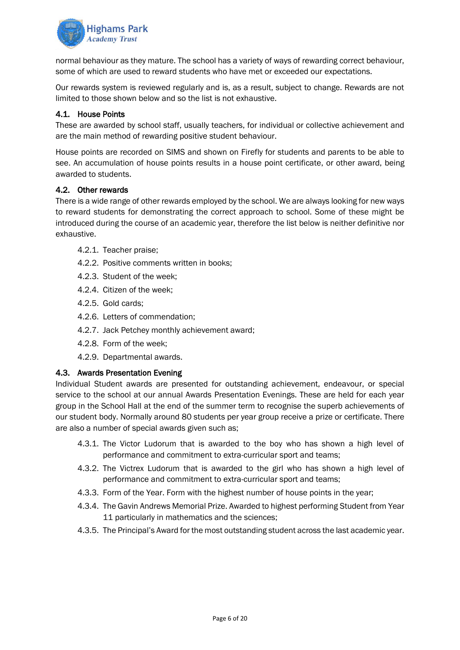

normal behaviour as they mature. The school has a variety of ways of rewarding correct behaviour, some of which are used to reward students who have met or exceeded our expectations.

Our rewards system is reviewed regularly and is, as a result, subject to change. Rewards are not limited to those shown below and so the list is not exhaustive.

# <span id="page-5-0"></span>4.1. House Points

These are awarded by school staff, usually teachers, for individual or collective achievement and are the main method of rewarding positive student behaviour.

House points are recorded on SIMS and shown on Firefly for students and parents to be able to see. An accumulation of house points results in a house point certificate, or other award, being awarded to students.

#### <span id="page-5-1"></span>4.2. Other rewards

There is a wide range of other rewards employed by the school. We are always looking for new ways to reward students for demonstrating the correct approach to school. Some of these might be introduced during the course of an academic year, therefore the list below is neither definitive nor exhaustive.

- 4.2.1. Teacher praise;
- 4.2.2. Positive comments written in books;
- 4.2.3. Student of the week;
- 4.2.4. Citizen of the week;
- 4.2.5. Gold cards;
- 4.2.6. Letters of commendation;
- 4.2.7. Jack Petchey monthly achievement award;
- 4.2.8. Form of the week;
- 4.2.9. Departmental awards.

#### <span id="page-5-2"></span>4.3. Awards Presentation Evening

Individual Student awards are presented for outstanding achievement, endeavour, or special service to the school at our annual Awards Presentation Evenings. These are held for each year group in the School Hall at the end of the summer term to recognise the superb achievements of our student body. Normally around 80 students per year group receive a prize or certificate. There are also a number of special awards given such as;

- 4.3.1. The Victor Ludorum that is awarded to the boy who has shown a high level of performance and commitment to extra-curricular sport and teams;
- 4.3.2. The Victrex Ludorum that is awarded to the girl who has shown a high level of performance and commitment to extra-curricular sport and teams;
- 4.3.3. Form of the Year. Form with the highest number of house points in the year;
- 4.3.4. The Gavin Andrews Memorial Prize. Awarded to highest performing Student from Year 11 particularly in mathematics and the sciences;
- 4.3.5. The Principal's Award for the most outstanding student across the last academic year.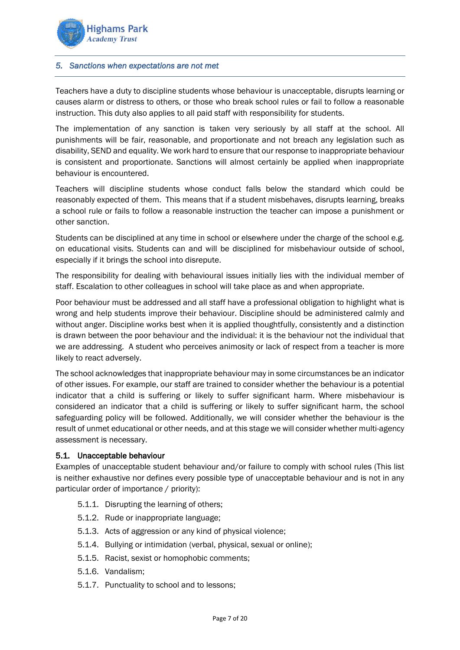

#### <span id="page-6-0"></span>*5. Sanctions when expectations are not met*

Teachers have a duty to discipline students whose behaviour is unacceptable, disrupts learning or causes alarm or distress to others, or those who break school rules or fail to follow a reasonable instruction. This duty also applies to all paid staff with responsibility for students.

The implementation of any sanction is taken very seriously by all staff at the school. All punishments will be fair, reasonable, and proportionate and not breach any legislation such as disability, SEND and equality. We work hard to ensure that our response to inappropriate behaviour is consistent and proportionate. Sanctions will almost certainly be applied when inappropriate behaviour is encountered.

Teachers will discipline students whose conduct falls below the standard which could be reasonably expected of them. This means that if a student misbehaves, disrupts learning, breaks a school rule or fails to follow a reasonable instruction the teacher can impose a punishment or other sanction.

Students can be disciplined at any time in school or elsewhere under the charge of the school e.g. on educational visits. Students can and will be disciplined for misbehaviour outside of school, especially if it brings the school into disrepute.

The responsibility for dealing with behavioural issues initially lies with the individual member of staff. Escalation to other colleagues in school will take place as and when appropriate.

Poor behaviour must be addressed and all staff have a professional obligation to highlight what is wrong and help students improve their behaviour. Discipline should be administered calmly and without anger. Discipline works best when it is applied thoughtfully, consistently and a distinction is drawn between the poor behaviour and the individual: it is the behaviour not the individual that we are addressing. A student who perceives animosity or lack of respect from a teacher is more likely to react adversely.

The school acknowledges that inappropriate behaviour may in some circumstances be an indicator of other issues. For example, our staff are trained to consider whether the behaviour is a potential indicator that a child is suffering or likely to suffer significant harm. Where misbehaviour is considered an indicator that a child is suffering or likely to suffer significant harm, the school safeguarding policy will be followed. Additionally, we will consider whether the behaviour is the result of unmet educational or other needs, and at this stage we will consider whether multi-agency assessment is necessary.

#### <span id="page-6-1"></span>5.1. Unacceptable behaviour

Examples of unacceptable student behaviour and/or failure to comply with school rules (This list is neither exhaustive nor defines every possible type of unacceptable behaviour and is not in any particular order of importance / priority):

- 5.1.1. Disrupting the learning of others;
- 5.1.2. Rude or inappropriate language;
- 5.1.3. Acts of aggression or any kind of physical violence;
- 5.1.4. Bullying or intimidation (verbal, physical, sexual or online);
- 5.1.5. Racist, sexist or homophobic comments;
- 5.1.6. Vandalism;
- 5.1.7. Punctuality to school and to lessons;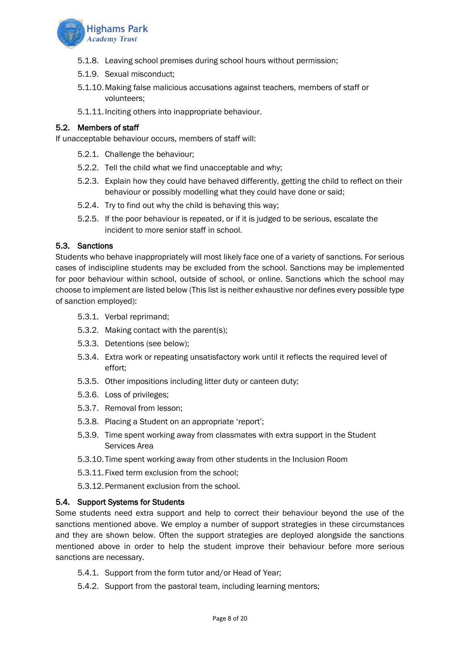

- 5.1.8. Leaving school premises during school hours without permission;
- 5.1.9. Sexual misconduct;
- 5.1.10.Making false malicious accusations against teachers, members of staff or volunteers;
- 5.1.11.Inciting others into inappropriate behaviour.

# <span id="page-7-0"></span>5.2. Members of staff

If unacceptable behaviour occurs, members of staff will:

- 5.2.1. Challenge the behaviour;
- 5.2.2. Tell the child what we find unacceptable and why;
- 5.2.3. Explain how they could have behaved differently, getting the child to reflect on their behaviour or possibly modelling what they could have done or said;
- 5.2.4. Try to find out why the child is behaving this way;
- 5.2.5. If the poor behaviour is repeated, or if it is judged to be serious, escalate the incident to more senior staff in school.

#### <span id="page-7-1"></span>5.3. Sanctions

Students who behave inappropriately will most likely face one of a variety of sanctions. For serious cases of indiscipline students may be excluded from the school. Sanctions may be implemented for poor behaviour within school, outside of school, or online. Sanctions which the school may choose to implement are listed below (This list is neither exhaustive nor defines every possible type of sanction employed):

- 5.3.1. Verbal reprimand;
- 5.3.2. Making contact with the parent(s);
- 5.3.3. Detentions (see below);
- 5.3.4. Extra work or repeating unsatisfactory work until it reflects the required level of effort;
- 5.3.5. Other impositions including litter duty or canteen duty;
- 5.3.6. Loss of privileges;
- 5.3.7. Removal from lesson;
- 5.3.8. Placing a Student on an appropriate 'report';
- 5.3.9. Time spent working away from classmates with extra support in the Student Services Area
- 5.3.10.Time spent working away from other students in the Inclusion Room
- 5.3.11.Fixed term exclusion from the school;
- 5.3.12.Permanent exclusion from the school.

#### <span id="page-7-2"></span>5.4. Support Systems for Students

Some students need extra support and help to correct their behaviour beyond the use of the sanctions mentioned above. We employ a number of support strategies in these circumstances and they are shown below. Often the support strategies are deployed alongside the sanctions mentioned above in order to help the student improve their behaviour before more serious sanctions are necessary.

- 5.4.1. Support from the form tutor and/or Head of Year;
- 5.4.2. Support from the pastoral team, including learning mentors;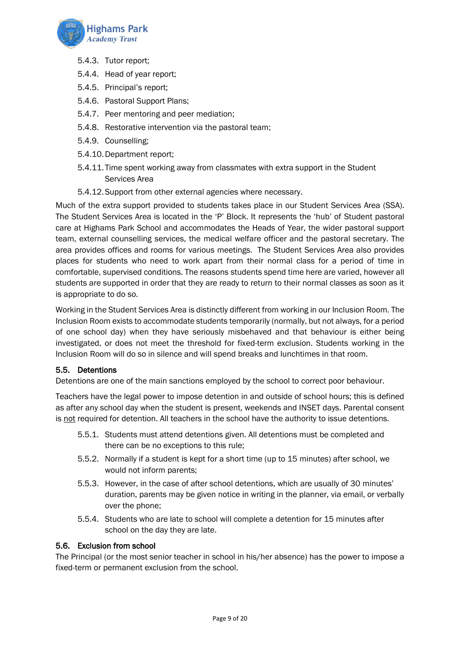

- 5.4.3. Tutor report;
- 5.4.4. Head of year report;
- 5.4.5. Principal's report;
- 5.4.6. Pastoral Support Plans;
- 5.4.7. Peer mentoring and peer mediation;
- 5.4.8. Restorative intervention via the pastoral team;
- 5.4.9. Counselling;
- 5.4.10.Department report;
- 5.4.11.Time spent working away from classmates with extra support in the Student Services Area
- 5.4.12.Support from other external agencies where necessary.

Much of the extra support provided to students takes place in our Student Services Area (SSA). The Student Services Area is located in the 'P' Block. It represents the 'hub' of Student pastoral care at Highams Park School and accommodates the Heads of Year, the wider pastoral support team, external counselling services, the medical welfare officer and the pastoral secretary. The area provides offices and rooms for various meetings. The Student Services Area also provides places for students who need to work apart from their normal class for a period of time in comfortable, supervised conditions. The reasons students spend time here are varied, however all students are supported in order that they are ready to return to their normal classes as soon as it is appropriate to do so.

Working in the Student Services Area is distinctly different from working in our Inclusion Room. The Inclusion Room exists to accommodate students temporarily (normally, but not always, for a period of one school day) when they have seriously misbehaved and that behaviour is either being investigated, or does not meet the threshold for fixed-term exclusion. Students working in the Inclusion Room will do so in silence and will spend breaks and lunchtimes in that room.

# <span id="page-8-0"></span>5.5. Detentions

Detentions are one of the main sanctions employed by the school to correct poor behaviour.

Teachers have the legal power to impose detention in and outside of school hours; this is defined as after any school day when the student is present, weekends and INSET days. Parental consent is not required for detention. All teachers in the school have the authority to issue detentions.

- 5.5.1. Students must attend detentions given. All detentions must be completed and there can be no exceptions to this rule;
- 5.5.2. Normally if a student is kept for a short time (up to 15 minutes) after school, we would not inform parents;
- 5.5.3. However, in the case of after school detentions, which are usually of 30 minutes' duration, parents may be given notice in writing in the planner, via email, or verbally over the phone;
- 5.5.4. Students who are late to school will complete a detention for 15 minutes after school on the day they are late.

# <span id="page-8-1"></span>5.6. Exclusion from school

The Principal (or the most senior teacher in school in his/her absence) has the power to impose a fixed-term or permanent exclusion from the school.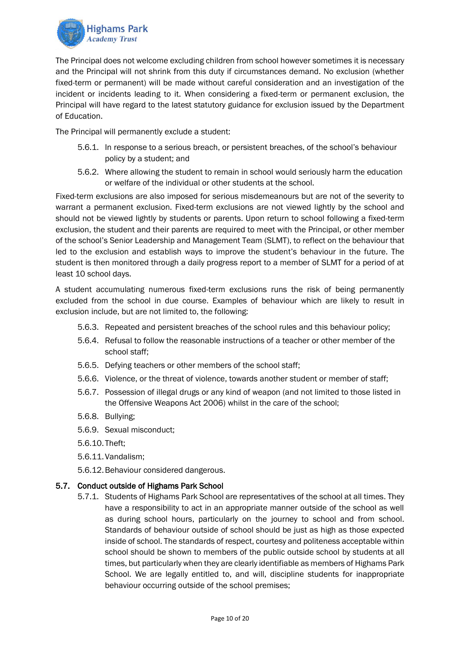

The Principal does not welcome excluding children from school however sometimes it is necessary and the Principal will not shrink from this duty if circumstances demand. No exclusion (whether fixed-term or permanent) will be made without careful consideration and an investigation of the incident or incidents leading to it. When considering a fixed-term or permanent exclusion, the Principal will have regard to the latest statutory guidance for exclusion issued by the Department of Education.

The Principal will permanently exclude a student:

- 5.6.1. In response to a serious breach, or persistent breaches, of the school's behaviour policy by a student; and
- 5.6.2. Where allowing the student to remain in school would seriously harm the education or welfare of the individual or other students at the school.

Fixed-term exclusions are also imposed for serious misdemeanours but are not of the severity to warrant a permanent exclusion. Fixed-term exclusions are not viewed lightly by the school and should not be viewed lightly by students or parents. Upon return to school following a fixed-term exclusion, the student and their parents are required to meet with the Principal, or other member of the school's Senior Leadership and Management Team (SLMT), to reflect on the behaviour that led to the exclusion and establish ways to improve the student's behaviour in the future. The student is then monitored through a daily progress report to a member of SLMT for a period of at least 10 school days.

A student accumulating numerous fixed-term exclusions runs the risk of being permanently excluded from the school in due course. Examples of behaviour which are likely to result in exclusion include, but are not limited to, the following:

- 5.6.3. Repeated and persistent breaches of the school rules and this behaviour policy;
- 5.6.4. Refusal to follow the reasonable instructions of a teacher or other member of the school staff;
- 5.6.5. Defying teachers or other members of the school staff;
- 5.6.6. Violence, or the threat of violence, towards another student or member of staff;
- 5.6.7. Possession of illegal drugs or any kind of weapon (and not limited to those listed in the Offensive Weapons Act 2006) whilst in the care of the school;
- 5.6.8. Bullying;
- 5.6.9. Sexual misconduct;
- 5.6.10.Theft;
- 5.6.11.Vandalism;
- 5.6.12.Behaviour considered dangerous.

#### <span id="page-9-0"></span>5.7. Conduct outside of Highams Park School

5.7.1. Students of Highams Park School are representatives of the school at all times. They have a responsibility to act in an appropriate manner outside of the school as well as during school hours, particularly on the journey to school and from school. Standards of behaviour outside of school should be just as high as those expected inside of school. The standards of respect, courtesy and politeness acceptable within school should be shown to members of the public outside school by students at all times, but particularly when they are clearly identifiable as members of Highams Park School. We are legally entitled to, and will, discipline students for inappropriate behaviour occurring outside of the school premises;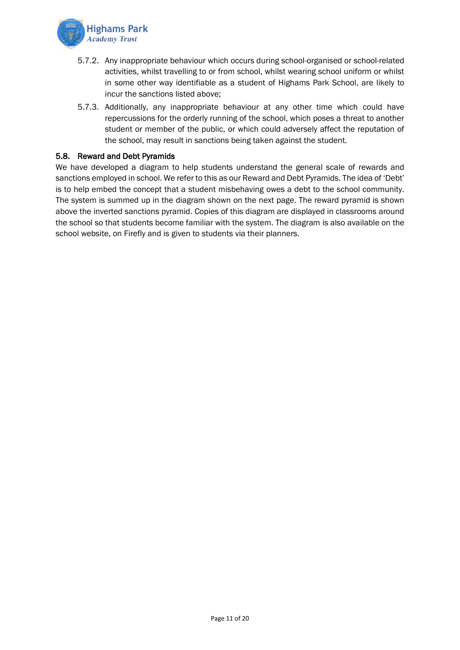

- 5.7.2. Any inappropriate behaviour which occurs during school-organised or school-related activities, whilst travelling to or from school, whilst wearing school uniform or whilst in some other way identifiable as a student of Highams Park School, are likely to incur the sanctions listed above;
- 5.7.3. Additionally, any inappropriate behaviour at any other time which could have repercussions for the orderly running of the school, which poses a threat to another student or member of the public, or which could adversely affect the reputation of the school, may result in sanctions being taken against the student.

#### <span id="page-10-0"></span>5.8. Reward and Debt Pyramids

We have developed a diagram to help students understand the general scale of rewards and sanctions employed in school. We refer to this as our Reward and Debt Pyramids. The idea of 'Debt' is to help embed the concept that a student misbehaving owes a debt to the school community. The system is summed up in the diagram shown on the next page. The reward pyramid is shown above the inverted sanctions pyramid. Copies of this diagram are displayed in classrooms around the school so that students become familiar with the system. The diagram is also available on the school website, on Firefly and is given to students via their planners.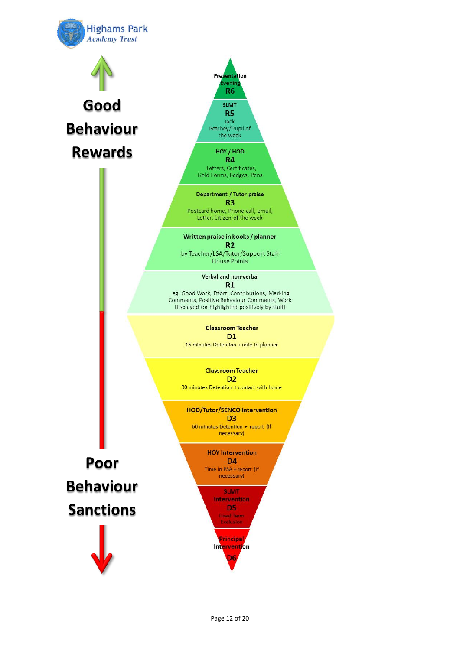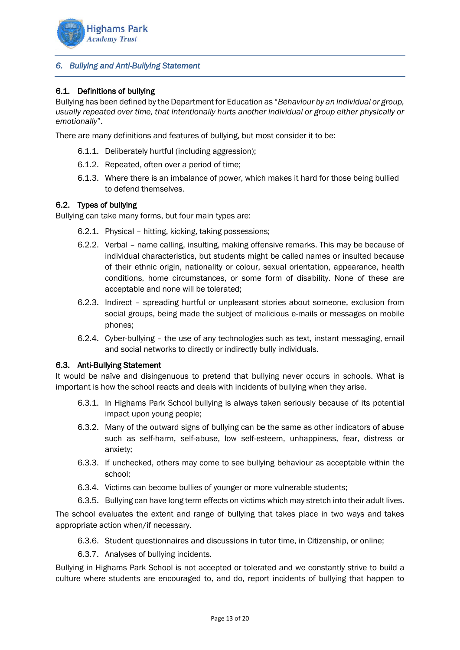

# <span id="page-12-0"></span>*6. Bullying and Anti-Bullying Statement*

# <span id="page-12-1"></span>6.1. Definitions of bullying

Bullying has been defined by the Department for Education as "*Behaviour by an individual or group, usually repeated over time, that intentionally hurts another individual or group either physically or emotionally*".

There are many definitions and features of bullying, but most consider it to be:

- 6.1.1. Deliberately hurtful (including aggression);
- 6.1.2. Repeated, often over a period of time;
- 6.1.3. Where there is an imbalance of power, which makes it hard for those being bullied to defend themselves.

#### <span id="page-12-2"></span>6.2. Types of bullying

Bullying can take many forms, but four main types are:

- 6.2.1. Physical hitting, kicking, taking possessions;
- 6.2.2. Verbal name calling, insulting, making offensive remarks. This may be because of individual characteristics, but students might be called names or insulted because of their ethnic origin, nationality or colour, sexual orientation, appearance, health conditions, home circumstances, or some form of disability. None of these are acceptable and none will be tolerated;
- 6.2.3. Indirect spreading hurtful or unpleasant stories about someone, exclusion from social groups, being made the subject of malicious e-mails or messages on mobile phones;
- 6.2.4. Cyber-bullying the use of any technologies such as text, instant messaging, email and social networks to directly or indirectly bully individuals.

#### <span id="page-12-3"></span>6.3. Anti-Bullying Statement

It would be naïve and disingenuous to pretend that bullying never occurs in schools. What is important is how the school reacts and deals with incidents of bullying when they arise.

- 6.3.1. In Highams Park School bullying is always taken seriously because of its potential impact upon young people;
- 6.3.2. Many of the outward signs of bullying can be the same as other indicators of abuse such as self-harm, self-abuse, low self-esteem, unhappiness, fear, distress or anxiety;
- 6.3.3. If unchecked, others may come to see bullying behaviour as acceptable within the school;
- 6.3.4. Victims can become bullies of younger or more vulnerable students;
- 6.3.5. Bullying can have long term effects on victims which may stretch into their adult lives.

The school evaluates the extent and range of bullying that takes place in two ways and takes appropriate action when/if necessary.

- 6.3.6. Student questionnaires and discussions in tutor time, in Citizenship, or online;
- 6.3.7. Analyses of bullying incidents.

Bullying in Highams Park School is not accepted or tolerated and we constantly strive to build a culture where students are encouraged to, and do, report incidents of bullying that happen to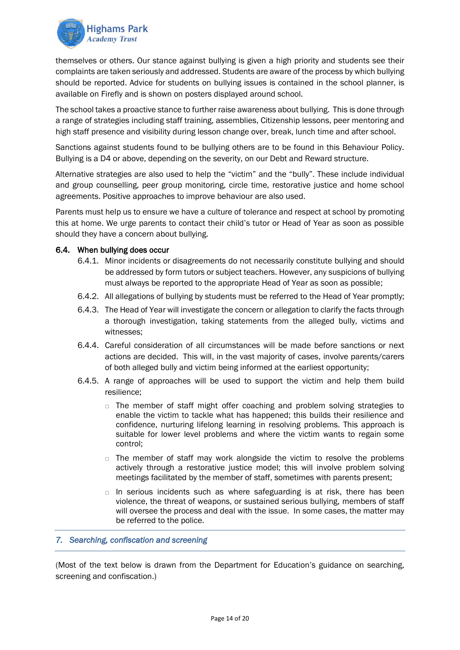

themselves or others. Our stance against bullying is given a high priority and students see their complaints are taken seriously and addressed. Students are aware of the process by which bullying should be reported. Advice for students on bullying issues is contained in the school planner, is available on Firefly and is shown on posters displayed around school.

The school takes a proactive stance to further raise awareness about bullying. This is done through a range of strategies including staff training, assemblies, Citizenship lessons, peer mentoring and high staff presence and visibility during lesson change over, break, lunch time and after school.

Sanctions against students found to be bullying others are to be found in this Behaviour Policy. Bullying is a D4 or above, depending on the severity, on our Debt and Reward structure.

Alternative strategies are also used to help the "victim" and the "bully". These include individual and group counselling, peer group monitoring, circle time, restorative justice and home school agreements. Positive approaches to improve behaviour are also used.

Parents must help us to ensure we have a culture of tolerance and respect at school by promoting this at home. We urge parents to contact their child's tutor or Head of Year as soon as possible should they have a concern about bullying.

#### <span id="page-13-0"></span>6.4. When bullying does occur

- 6.4.1. Minor incidents or disagreements do not necessarily constitute bullying and should be addressed by form tutors or subject teachers. However, any suspicions of bullying must always be reported to the appropriate Head of Year as soon as possible;
- 6.4.2. All allegations of bullying by students must be referred to the Head of Year promptly;
- 6.4.3. The Head of Year will investigate the concern or allegation to clarify the facts through a thorough investigation, taking statements from the alleged bully, victims and witnesses;
- 6.4.4. Careful consideration of all circumstances will be made before sanctions or next actions are decided. This will, in the vast majority of cases, involve parents/carers of both alleged bully and victim being informed at the earliest opportunity;
- 6.4.5. A range of approaches will be used to support the victim and help them build resilience;
	- $\Box$  The member of staff might offer coaching and problem solving strategies to enable the victim to tackle what has happened; this builds their resilience and confidence, nurturing lifelong learning in resolving problems. This approach is suitable for lower level problems and where the victim wants to regain some control;
	- $\Box$  The member of staff may work alongside the victim to resolve the problems actively through a restorative justice model; this will involve problem solving meetings facilitated by the member of staff, sometimes with parents present;
	- $\Box$  In serious incidents such as where safeguarding is at risk, there has been violence, the threat of weapons, or sustained serious bullying, members of staff will oversee the process and deal with the issue. In some cases, the matter may be referred to the police.

#### <span id="page-13-1"></span>*7. Searching, confiscation and screening*

(Most of the text below is drawn from the Department for Education's guidance on searching, screening and confiscation.)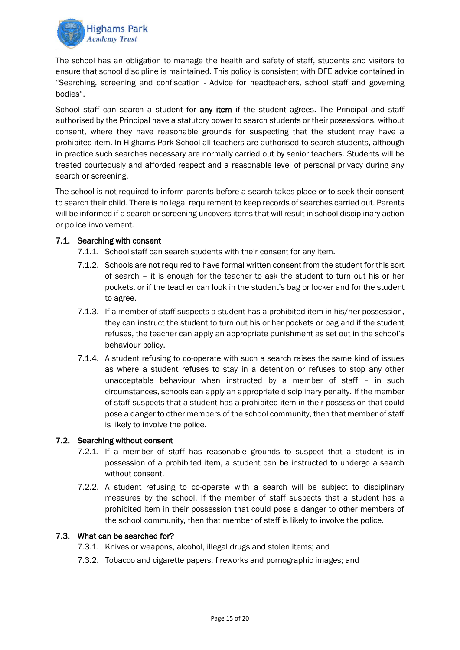

The school has an obligation to manage the health and safety of staff, students and visitors to ensure that school discipline is maintained. This policy is consistent with DFE advice contained in "Searching, screening and confiscation - Advice for headteachers, school staff and governing bodies".

School staff can search a student for **any item** if the student agrees. The Principal and staff authorised by the Principal have a statutory power to search students or their possessions, without consent, where they have reasonable grounds for suspecting that the student may have a prohibited item. In Highams Park School all teachers are authorised to search students, although in practice such searches necessary are normally carried out by senior teachers. Students will be treated courteously and afforded respect and a reasonable level of personal privacy during any search or screening.

The school is not required to inform parents before a search takes place or to seek their consent to search their child. There is no legal requirement to keep records of searches carried out. Parents will be informed if a search or screening uncovers items that will result in school disciplinary action or police involvement.

# <span id="page-14-0"></span>7.1. Searching with consent

- 7.1.1. School staff can search students with their consent for any item.
- 7.1.2. Schools are not required to have formal written consent from the student for this sort of search – it is enough for the teacher to ask the student to turn out his or her pockets, or if the teacher can look in the student's bag or locker and for the student to agree.
- 7.1.3. If a member of staff suspects a student has a prohibited item in his/her possession, they can instruct the student to turn out his or her pockets or bag and if the student refuses, the teacher can apply an appropriate punishment as set out in the school's behaviour policy.
- 7.1.4. A student refusing to co-operate with such a search raises the same kind of issues as where a student refuses to stay in a detention or refuses to stop any other unacceptable behaviour when instructed by a member of staff – in such circumstances, schools can apply an appropriate disciplinary penalty. If the member of staff suspects that a student has a prohibited item in their possession that could pose a danger to other members of the school community, then that member of staff is likely to involve the police.

# <span id="page-14-1"></span>7.2. Searching without consent

- 7.2.1. If a member of staff has reasonable grounds to suspect that a student is in possession of a prohibited item, a student can be instructed to undergo a search without consent.
- 7.2.2. A student refusing to co-operate with a search will be subject to disciplinary measures by the school. If the member of staff suspects that a student has a prohibited item in their possession that could pose a danger to other members of the school community, then that member of staff is likely to involve the police.

#### <span id="page-14-2"></span>7.3. What can be searched for?

- 7.3.1. Knives or weapons, alcohol, illegal drugs and stolen items; and
- 7.3.2. Tobacco and cigarette papers, fireworks and pornographic images; and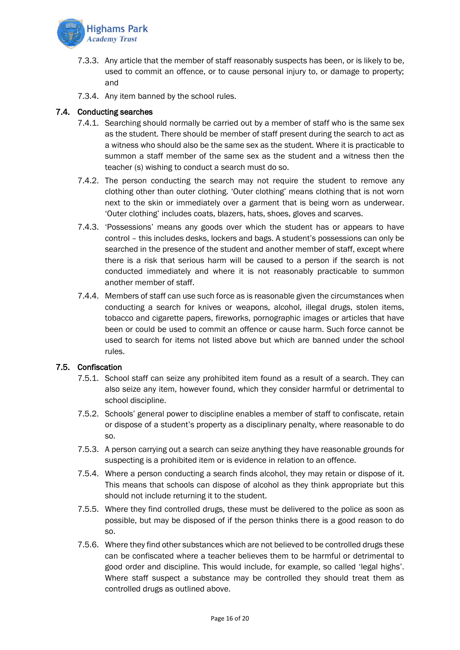

- 7.3.3. Any article that the member of staff reasonably suspects has been, or is likely to be, used to commit an offence, or to cause personal injury to, or damage to property; and
- 7.3.4. Any item banned by the school rules.

# <span id="page-15-0"></span>7.4. Conducting searches

- 7.4.1. Searching should normally be carried out by a member of staff who is the same sex as the student. There should be member of staff present during the search to act as a witness who should also be the same sex as the student. Where it is practicable to summon a staff member of the same sex as the student and a witness then the teacher (s) wishing to conduct a search must do so.
- 7.4.2. The person conducting the search may not require the student to remove any clothing other than outer clothing. 'Outer clothing' means clothing that is not worn next to the skin or immediately over a garment that is being worn as underwear. 'Outer clothing' includes coats, blazers, hats, shoes, gloves and scarves.
- 7.4.3. 'Possessions' means any goods over which the student has or appears to have control – this includes desks, lockers and bags. A student's possessions can only be searched in the presence of the student and another member of staff, except where there is a risk that serious harm will be caused to a person if the search is not conducted immediately and where it is not reasonably practicable to summon another member of staff.
- 7.4.4. Members of staff can use such force as is reasonable given the circumstances when conducting a search for knives or weapons, alcohol, illegal drugs, stolen items, tobacco and cigarette papers, fireworks, pornographic images or articles that have been or could be used to commit an offence or cause harm. Such force cannot be used to search for items not listed above but which are banned under the school rules.

# <span id="page-15-1"></span>7.5. Confiscation

- 7.5.1. School staff can seize any prohibited item found as a result of a search. They can also seize any item, however found, which they consider harmful or detrimental to school discipline.
- 7.5.2. Schools' general power to discipline enables a member of staff to confiscate, retain or dispose of a student's property as a disciplinary penalty, where reasonable to do so.
- 7.5.3. A person carrying out a search can seize anything they have reasonable grounds for suspecting is a prohibited item or is evidence in relation to an offence.
- 7.5.4. Where a person conducting a search finds alcohol, they may retain or dispose of it. This means that schools can dispose of alcohol as they think appropriate but this should not include returning it to the student.
- 7.5.5. Where they find controlled drugs, these must be delivered to the police as soon as possible, but may be disposed of if the person thinks there is a good reason to do so.
- 7.5.6. Where they find other substances which are not believed to be controlled drugs these can be confiscated where a teacher believes them to be harmful or detrimental to good order and discipline. This would include, for example, so called 'legal highs'. Where staff suspect a substance may be controlled they should treat them as controlled drugs as outlined above.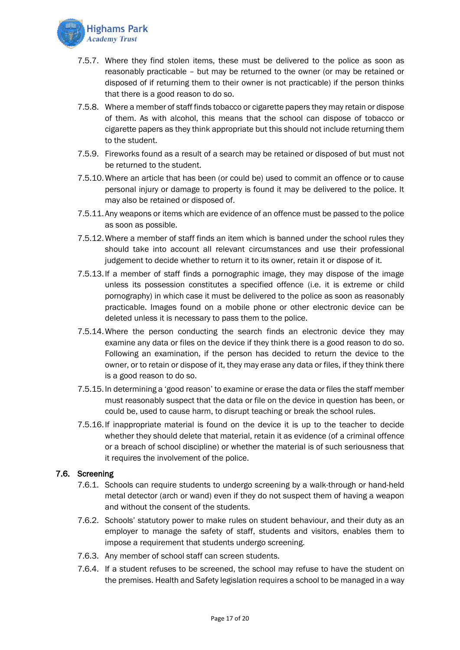

- 7.5.7. Where they find stolen items, these must be delivered to the police as soon as reasonably practicable – but may be returned to the owner (or may be retained or disposed of if returning them to their owner is not practicable) if the person thinks that there is a good reason to do so.
- 7.5.8. Where a member of staff finds tobacco or cigarette papers they may retain or dispose of them. As with alcohol, this means that the school can dispose of tobacco or cigarette papers as they think appropriate but this should not include returning them to the student.
- 7.5.9. Fireworks found as a result of a search may be retained or disposed of but must not be returned to the student.
- 7.5.10.Where an article that has been (or could be) used to commit an offence or to cause personal injury or damage to property is found it may be delivered to the police. It may also be retained or disposed of.
- 7.5.11.Any weapons or items which are evidence of an offence must be passed to the police as soon as possible.
- 7.5.12.Where a member of staff finds an item which is banned under the school rules they should take into account all relevant circumstances and use their professional judgement to decide whether to return it to its owner, retain it or dispose of it.
- 7.5.13.If a member of staff finds a pornographic image, they may dispose of the image unless its possession constitutes a specified offence (i.e. it is extreme or child pornography) in which case it must be delivered to the police as soon as reasonably practicable. Images found on a mobile phone or other electronic device can be deleted unless it is necessary to pass them to the police.
- 7.5.14.Where the person conducting the search finds an electronic device they may examine any data or files on the device if they think there is a good reason to do so. Following an examination, if the person has decided to return the device to the owner, or to retain or dispose of it, they may erase any data or files, if they think there is a good reason to do so.
- 7.5.15.In determining a 'good reason' to examine or erase the data or files the staff member must reasonably suspect that the data or file on the device in question has been, or could be, used to cause harm, to disrupt teaching or break the school rules.
- 7.5.16.If inappropriate material is found on the device it is up to the teacher to decide whether they should delete that material, retain it as evidence (of a criminal offence or a breach of school discipline) or whether the material is of such seriousness that it requires the involvement of the police.

# <span id="page-16-0"></span>7.6. Screening

- 7.6.1. Schools can require students to undergo screening by a walk-through or hand-held metal detector (arch or wand) even if they do not suspect them of having a weapon and without the consent of the students.
- 7.6.2. Schools' statutory power to make rules on student behaviour, and their duty as an employer to manage the safety of staff, students and visitors, enables them to impose a requirement that students undergo screening.
- 7.6.3. Any member of school staff can screen students.
- 7.6.4. If a student refuses to be screened, the school may refuse to have the student on the premises. Health and Safety legislation requires a school to be managed in a way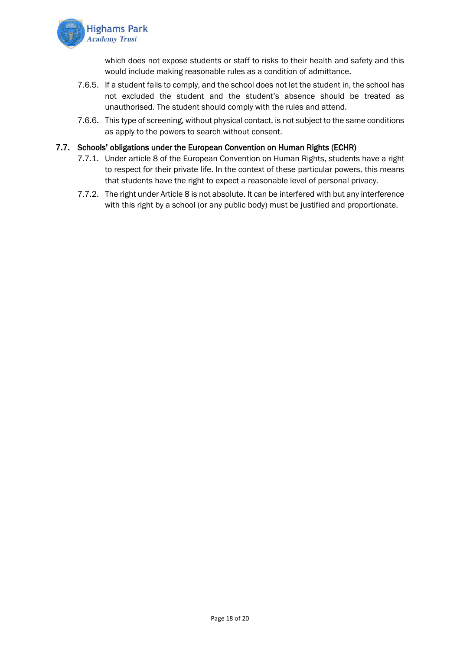

which does not expose students or staff to risks to their health and safety and this would include making reasonable rules as a condition of admittance.

- 7.6.5. If a student fails to comply, and the school does not let the student in, the school has not excluded the student and the student's absence should be treated as unauthorised. The student should comply with the rules and attend.
- 7.6.6. This type of screening, without physical contact, is not subject to the same conditions as apply to the powers to search without consent.

#### <span id="page-17-0"></span>7.7. Schools' obligations under the European Convention on Human Rights (ECHR)

- 7.7.1. Under article 8 of the European Convention on Human Rights, students have a right to respect for their private life. In the context of these particular powers, this means that students have the right to expect a reasonable level of personal privacy.
- 7.7.2. The right under Article 8 is not absolute. It can be interfered with but any interference with this right by a school (or any public body) must be justified and proportionate.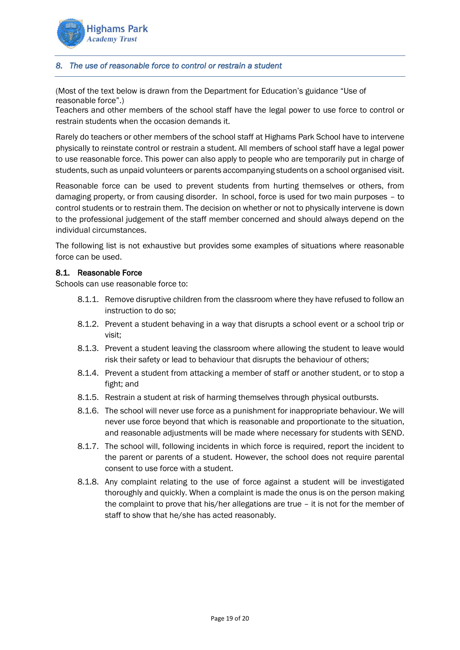

#### <span id="page-18-0"></span>*8. The use of reasonable force to control or restrain a student*

(Most of the text below is drawn from the Department for Education's guidance "Use of reasonable force".)

Teachers and other members of the school staff have the legal power to use force to control or restrain students when the occasion demands it.

Rarely do teachers or other members of the school staff at Highams Park School have to intervene physically to reinstate control or restrain a student. All members of school staff have a legal power to use reasonable force. This power can also apply to people who are temporarily put in charge of students, such as unpaid volunteers or parents accompanying students on a school organised visit.

Reasonable force can be used to prevent students from hurting themselves or others, from damaging property, or from causing disorder. In school, force is used for two main purposes – to control students or to restrain them. The decision on whether or not to physically intervene is down to the professional judgement of the staff member concerned and should always depend on the individual circumstances.

The following list is not exhaustive but provides some examples of situations where reasonable force can be used.

#### <span id="page-18-1"></span>8.1. Reasonable Force

Schools can use reasonable force to:

- 8.1.1. Remove disruptive children from the classroom where they have refused to follow an instruction to do so;
- 8.1.2. Prevent a student behaving in a way that disrupts a school event or a school trip or visit;
- 8.1.3. Prevent a student leaving the classroom where allowing the student to leave would risk their safety or lead to behaviour that disrupts the behaviour of others;
- 8.1.4. Prevent a student from attacking a member of staff or another student, or to stop a fight; and
- 8.1.5. Restrain a student at risk of harming themselves through physical outbursts.
- 8.1.6. The school will never use force as a punishment for inappropriate behaviour. We will never use force beyond that which is reasonable and proportionate to the situation, and reasonable adjustments will be made where necessary for students with SEND.
- 8.1.7. The school will, following incidents in which force is required, report the incident to the parent or parents of a student. However, the school does not require parental consent to use force with a student.
- 8.1.8. Any complaint relating to the use of force against a student will be investigated thoroughly and quickly. When a complaint is made the onus is on the person making the complaint to prove that his/her allegations are true – it is not for the member of staff to show that he/she has acted reasonably.